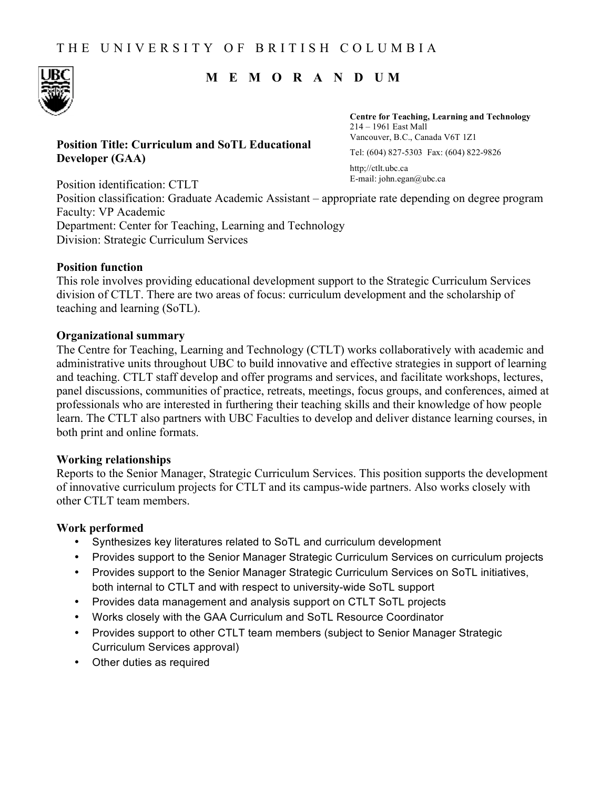# **M E M O R A N D UM**

### **Position Title: Curriculum and SoTL Educational Developer (GAA)**

**Centre for Teaching, Learning and Technology**  214 – 1961 East Mall Vancouver, B.C., Canada V6T 1Z1 Tel: (604) 827-5303 Fax: (604) 822-9826

http;//ctlt.ubc.ca E-mail: john.egan@ubc.ca

Position identification: CTLT Position classification: Graduate Academic Assistant – appropriate rate depending on degree program Faculty: VP Academic Department: Center for Teaching, Learning and Technology Division: Strategic Curriculum Services

#### **Position function**

This role involves providing educational development support to the Strategic Curriculum Services division of CTLT. There are two areas of focus: curriculum development and the scholarship of teaching and learning (SoTL).

#### **Organizational summary**

The Centre for Teaching, Learning and Technology (CTLT) works collaboratively with academic and administrative units throughout UBC to build innovative and effective strategies in support of learning and teaching. CTLT staff develop and offer programs and services, and facilitate workshops, lectures, panel discussions, communities of practice, retreats, meetings, focus groups, and conferences, aimed at professionals who are interested in furthering their teaching skills and their knowledge of how people learn. The CTLT also partners with UBC Faculties to develop and deliver distance learning courses, in both print and online formats.

#### **Working relationships**

Reports to the Senior Manager, Strategic Curriculum Services. This position supports the development of innovative curriculum projects for CTLT and its campus-wide partners. Also works closely with other CTLT team members.

#### **Work performed**

- Synthesizes key literatures related to SoTL and curriculum development
- Provides support to the Senior Manager Strategic Curriculum Services on curriculum projects
- Provides support to the Senior Manager Strategic Curriculum Services on SoTL initiatives, both internal to CTLT and with respect to university-wide SoTL support
- Provides data management and analysis support on CTLT SoTL projects
- Works closely with the GAA Curriculum and SoTL Resource Coordinator
- Provides support to other CTLT team members (subject to Senior Manager Strategic Curriculum Services approval)
- Other duties as required